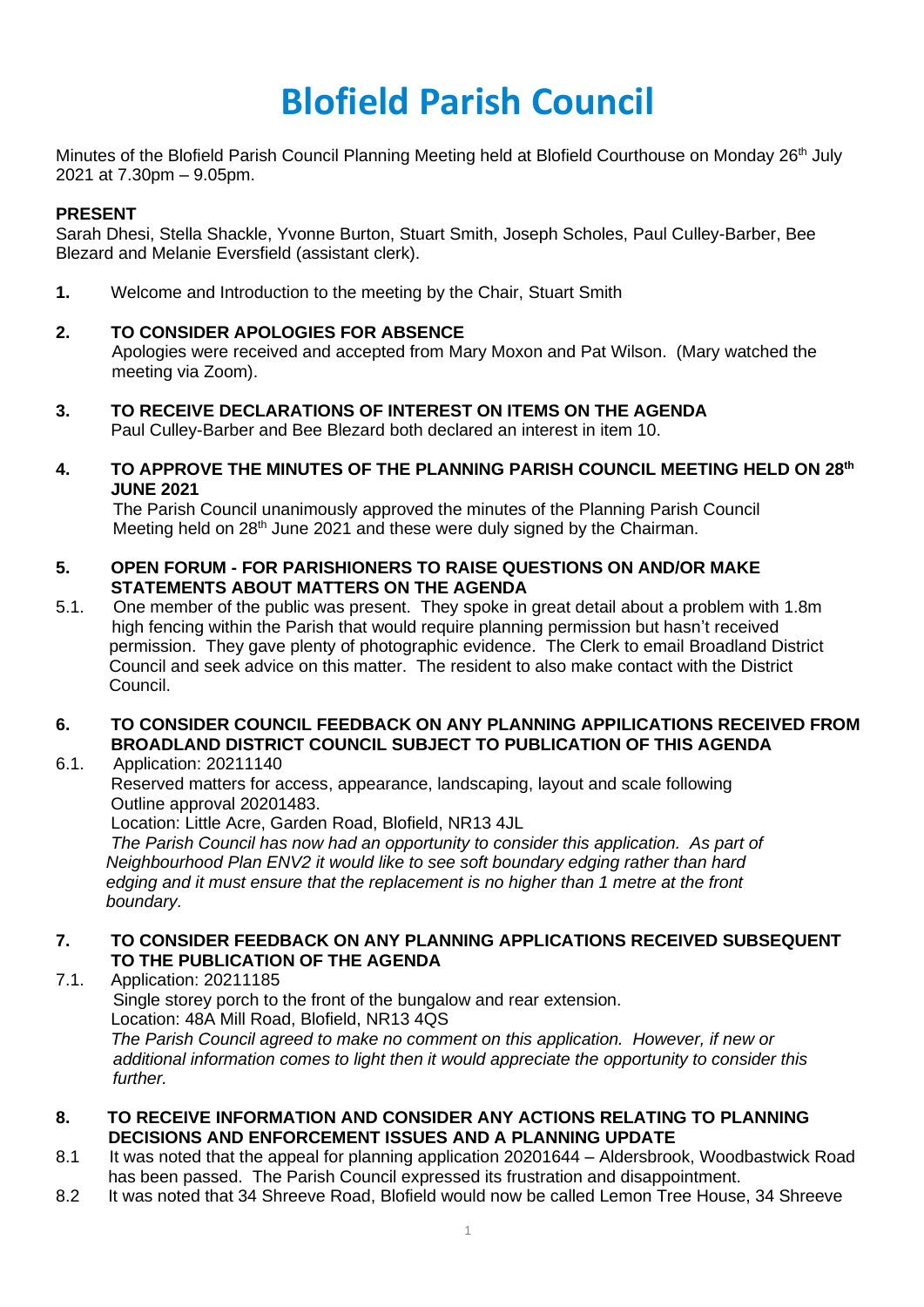# **Blofield Parish Council**

Minutes of the Blofield Parish Council Planning Meeting held at Blofield Courthouse on Monday 26<sup>th</sup> July 2021 at 7.30pm – 9.05pm.

# **PRESENT**

Sarah Dhesi, Stella Shackle, Yvonne Burton, Stuart Smith, Joseph Scholes, Paul Culley-Barber, Bee Blezard and Melanie Eversfield (assistant clerk).

**1.** Welcome and Introduction to the meeting by the Chair, Stuart Smith

# **2. TO CONSIDER APOLOGIES FOR ABSENCE**

Apologies were received and accepted from Mary Moxon and Pat Wilson. (Mary watched the meeting via Zoom).

- **3. TO RECEIVE DECLARATIONS OF INTEREST ON ITEMS ON THE AGENDA** Paul Culley-Barber and Bee Blezard both declared an interest in item 10.
- **4. TO APPROVE THE MINUTES OF THE PLANNING PARISH COUNCIL MEETING HELD ON 28th JUNE 2021**

The Parish Council unanimously approved the minutes of the Planning Parish Council Meeting held on 28<sup>th</sup> June 2021 and these were duly signed by the Chairman.

- **5. OPEN FORUM - FOR PARISHIONERS TO RAISE QUESTIONS ON AND/OR MAKE STATEMENTS ABOUT MATTERS ON THE AGENDA**
- 5.1. One member of the public was present. They spoke in great detail about a problem with 1.8m high fencing within the Parish that would require planning permission but hasn't received permission. They gave plenty of photographic evidence. The Clerk to email Broadland District Council and seek advice on this matter. The resident to also make contact with the District Council.

# **6. TO CONSIDER COUNCIL FEEDBACK ON ANY PLANNING APPILICATIONS RECEIVED FROM BROADLAND DISTRICT COUNCIL SUBJECT TO PUBLICATION OF THIS AGENDA**

6.1. Application: 20211140

Reserved matters for access, appearance, landscaping, layout and scale following Outline approval 20201483.

Location: Little Acre, Garden Road, Blofield, NR13 4JL

*The Parish Council has now had an opportunity to consider this application. As part of Neighbourhood Plan ENV2 it would like to see soft boundary edging rather than hard edging and it must ensure that the replacement is no higher than 1 metre at the front boundary.* 

#### **7. TO CONSIDER FEEDBACK ON ANY PLANNING APPLICATIONS RECEIVED SUBSEQUENT TO THE PUBLICATION OF THE AGENDA**

7.1. Application: 20211185 Single storey porch to the front of the bungalow and rear extension. Location: 48A Mill Road, Blofield, NR13 4QS *The Parish Council agreed to make no comment on this application. However, if new or additional information comes to light then it would appreciate the opportunity to consider this further.* 

#### **8. TO RECEIVE INFORMATION AND CONSIDER ANY ACTIONS RELATING TO PLANNING DECISIONS AND ENFORCEMENT ISSUES AND A PLANNING UPDATE**

- 8.1 It was noted that the appeal for planning application 20201644 Aldersbrook, Woodbastwick Road has been passed. The Parish Council expressed its frustration and disappointment.
- 8.2 It was noted that 34 Shreeve Road, Blofield would now be called Lemon Tree House, 34 Shreeve